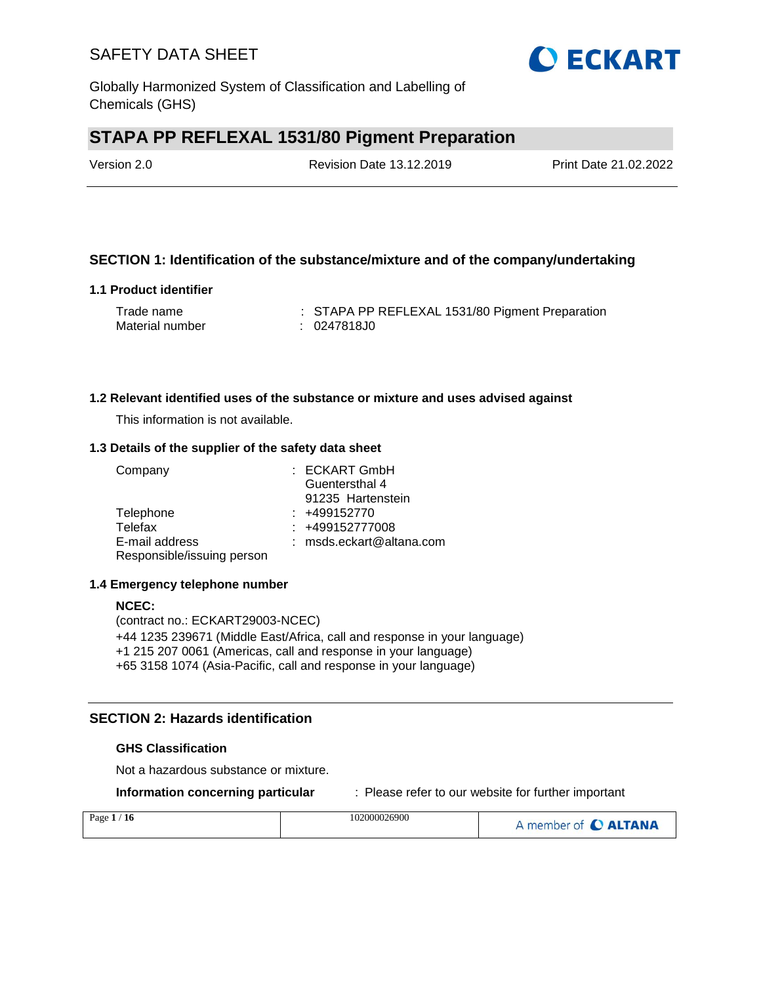

# **STAPA PP REFLEXAL 1531/80 Pigment Preparation**

Version 2.0 Revision Date 13.12.2019 Print Date 21.02.2022

### **SECTION 1: Identification of the substance/mixture and of the company/undertaking**

### **1.1 Product identifier**

| Trade name      | : STAPA PP REFLEXAL 1531/80 Pigment Preparation |
|-----------------|-------------------------------------------------|
| Material number | : 0247818J0                                     |

### **1.2 Relevant identified uses of the substance or mixture and uses advised against**

This information is not available.

### **1.3 Details of the supplier of the safety data sheet**

| Company                    | $:$ ECKART GmbH            |
|----------------------------|----------------------------|
|                            | Guentersthal 4             |
|                            | 91235 Hartenstein          |
| Telephone                  | $: +499152770$             |
| Telefax                    | : +499152777008            |
| E-mail address             | $:$ msds.eckart@altana.com |
| Responsible/issuing person |                            |

### **1.4 Emergency telephone number**

### **NCEC:**

(contract no.: ECKART29003-NCEC) +44 1235 239671 (Middle East/Africa, call and response in your language) +1 215 207 0061 (Americas, call and response in your language) +65 3158 1074 (Asia-Pacific, call and response in your language)

### **SECTION 2: Hazards identification**

### **GHS Classification**

Not a hazardous substance or mixture.

**Information concerning particular** : Please refer to our website for further important

| Page $1/$<br>/ 16 | 102000026900 | A member of C ALTANA |
|-------------------|--------------|----------------------|
|                   |              |                      |

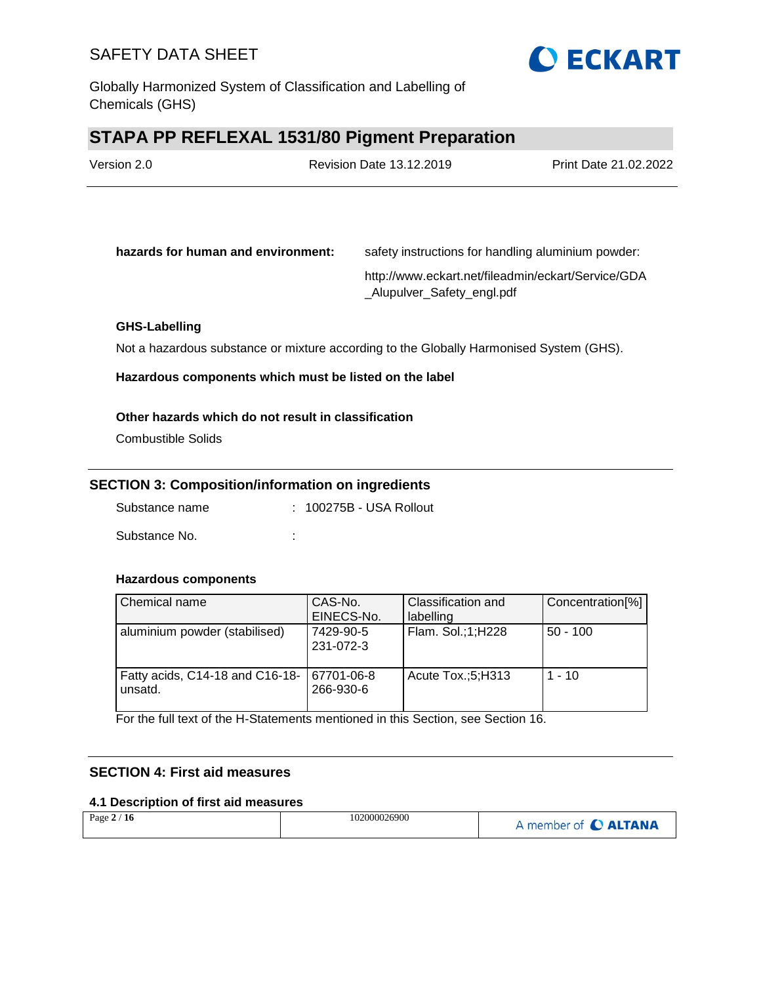

Globally Harmonized System of Classification and Labelling of Chemicals (GHS)

# **STAPA PP REFLEXAL 1531/80 Pigment Preparation**

| Version 2.0 | <b>Revision Date 13.12.2019</b> | Print Date 21.02.2022 |
|-------------|---------------------------------|-----------------------|
|             |                                 |                       |

| hazards for human and environment: | safety instructions for handling aluminium powder:                              |
|------------------------------------|---------------------------------------------------------------------------------|
|                                    | http://www.eckart.net/fileadmin/eckart/Service/GDA<br>Alupulver Safety engl.pdf |

### **GHS-Labelling**

Not a hazardous substance or mixture according to the Globally Harmonised System (GHS).

**Hazardous components which must be listed on the label**

### **Other hazards which do not result in classification**

Combustible Solids

### **SECTION 3: Composition/information on ingredients**

Substance name : 100275B - USA Rollout

Substance No. **:** :

### **Hazardous components**

| Chemical name                              | CAS-No.<br>EINECS-No.   | Classification and<br>labelling | Concentration[%] |
|--------------------------------------------|-------------------------|---------------------------------|------------------|
| aluminium powder (stabilised)              | 7429-90-5<br>231-072-3  | Flam. Sol.;1;H228               | $50 - 100$       |
| Fatty acids, C14-18 and C16-18-<br>unsatd. | 67701-06-8<br>266-930-6 | Acute Tox.;5;H313               | $1 - 10$         |

For the full text of the H-Statements mentioned in this Section, see Section 16.

### **SECTION 4: First aid measures**

### **4.1 Description of first aid measures**

| Page $2/16$ | 102000026900 | A member of C ALTANA |
|-------------|--------------|----------------------|
|-------------|--------------|----------------------|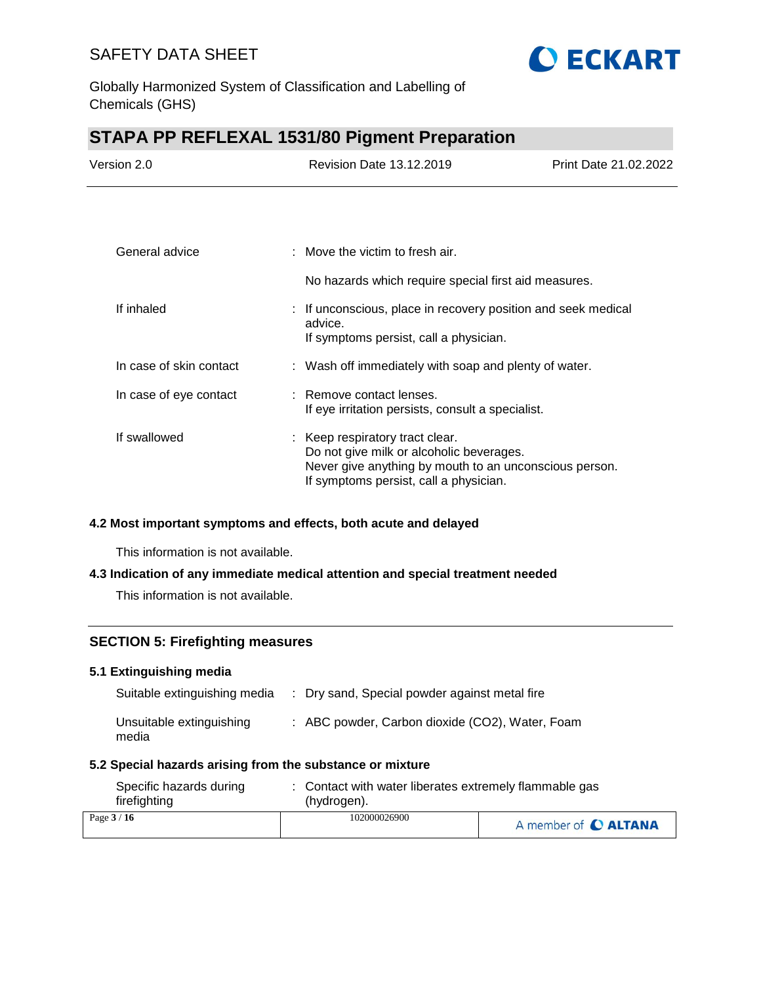

Globally Harmonized System of Classification and Labelling of Chemicals (GHS)

# **STAPA PP REFLEXAL 1531/80 Pigment Preparation**

| Version 2.0 | Revision Date 13.12.2019 | Print Date 21.02.2022 |
|-------------|--------------------------|-----------------------|
|             |                          |                       |
|             |                          |                       |

| General advice          | : Move the victim to fresh air.                                                                                                                                                 |
|-------------------------|---------------------------------------------------------------------------------------------------------------------------------------------------------------------------------|
|                         | No hazards which require special first aid measures.                                                                                                                            |
| If inhaled              | : If unconscious, place in recovery position and seek medical<br>advice.<br>If symptoms persist, call a physician.                                                              |
| In case of skin contact | : Wash off immediately with soap and plenty of water.                                                                                                                           |
| In case of eye contact  | : Remove contact lenses.<br>If eye irritation persists, consult a specialist.                                                                                                   |
| If swallowed            | : Keep respiratory tract clear.<br>Do not give milk or alcoholic beverages.<br>Never give anything by mouth to an unconscious person.<br>If symptoms persist, call a physician. |

### **4.2 Most important symptoms and effects, both acute and delayed**

This information is not available.

### **4.3 Indication of any immediate medical attention and special treatment needed**

This information is not available.

### **SECTION 5: Firefighting measures**

### **5.1 Extinguishing media**

| Suitable extinguishing media      | : Dry sand, Special powder against metal fire   |
|-----------------------------------|-------------------------------------------------|
| Unsuitable extinguishing<br>media | : ABC powder, Carbon dioxide (CO2), Water, Foam |

### **5.2 Special hazards arising from the substance or mixture**

| Specific hazards during | Contact with water liberates extremely flammable gas |                      |  |
|-------------------------|------------------------------------------------------|----------------------|--|
| firefighting            | (hydrogen).                                          |                      |  |
| Page $3/16$             | 102000026900                                         | A member of C ALTANA |  |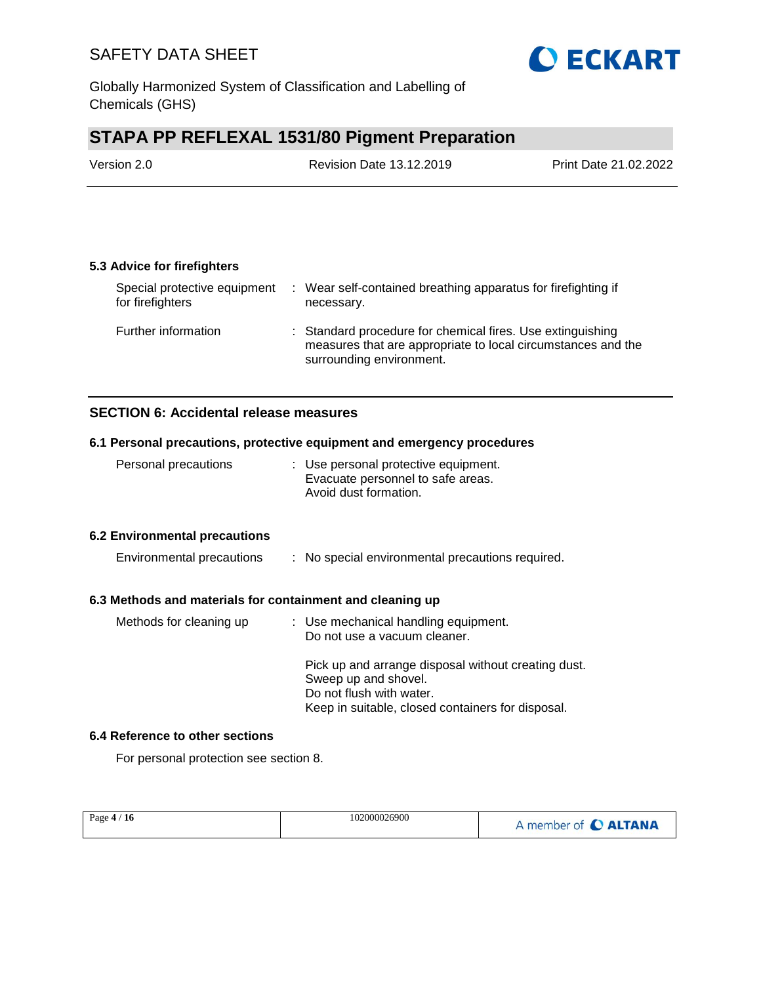

Globally Harmonized System of Classification and Labelling of Chemicals (GHS)

# **STAPA PP REFLEXAL 1531/80 Pigment Preparation**

| Version 2.0 | <b>Revision Date 13.12.2019</b> | Print Date 21.02.2022 |
|-------------|---------------------------------|-----------------------|
|             |                                 |                       |

### **5.3 Advice for firefighters**

| Special protective equipment<br>for firefighters | : Wear self-contained breathing apparatus for firefighting if<br>necessary.                                                                            |
|--------------------------------------------------|--------------------------------------------------------------------------------------------------------------------------------------------------------|
| Further information                              | : Standard procedure for chemical fires. Use extinguishing<br>measures that are appropriate to local circumstances and the<br>surrounding environment. |

### **SECTION 6: Accidental release measures**

### **6.1 Personal precautions, protective equipment and emergency procedures**

| Personal precautions | : Use personal protective equipment. |
|----------------------|--------------------------------------|
|                      | Evacuate personnel to safe areas.    |
|                      | Avoid dust formation.                |

### **6.2 Environmental precautions**

| Environmental precautions |  |  | No special environmental precautions required. |  |  |
|---------------------------|--|--|------------------------------------------------|--|--|
|---------------------------|--|--|------------------------------------------------|--|--|

### **6.3 Methods and materials for containment and cleaning up**

| Methods for cleaning up | : Use mechanical handling equipment.<br>Do not use a vacuum cleaner.                                                                                         |
|-------------------------|--------------------------------------------------------------------------------------------------------------------------------------------------------------|
|                         | Pick up and arrange disposal without creating dust.<br>Sweep up and shovel.<br>Do not flush with water.<br>Keep in suitable, closed containers for disposal. |

### **6.4 Reference to other sections**

For personal protection see section 8.

| Page $4/16$ | 102000026900 | A member of C ALTANA |
|-------------|--------------|----------------------|
|             |              |                      |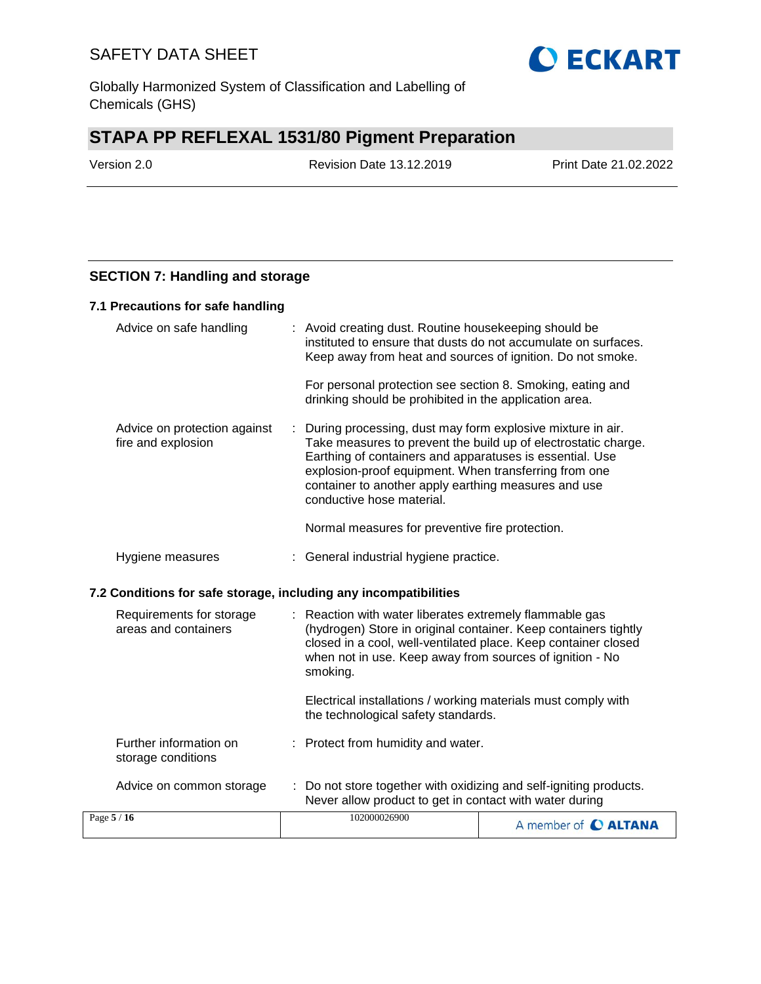

# **STAPA PP REFLEXAL 1531/80 Pigment Preparation**

Version 2.0 Revision Date 13.12.2019 Print Date 21.02.2022

### **SECTION 7: Handling and storage**

### **7.1 Precautions for safe handling**

| Advice on safe handling                                          |                                                                                                                                                                                                                                                                         | : Avoid creating dust. Routine housekeeping should be                                                                         | instituted to ensure that dusts do not accumulate on surfaces.<br>Keep away from heat and sources of ignition. Do not smoke.                                                                                                                      |
|------------------------------------------------------------------|-------------------------------------------------------------------------------------------------------------------------------------------------------------------------------------------------------------------------------------------------------------------------|-------------------------------------------------------------------------------------------------------------------------------|---------------------------------------------------------------------------------------------------------------------------------------------------------------------------------------------------------------------------------------------------|
|                                                                  |                                                                                                                                                                                                                                                                         | drinking should be prohibited in the application area.                                                                        | For personal protection see section 8. Smoking, eating and                                                                                                                                                                                        |
| Advice on protection against<br>fire and explosion               |                                                                                                                                                                                                                                                                         | container to another apply earthing measures and use<br>conductive hose material.                                             | During processing, dust may form explosive mixture in air.<br>Take measures to prevent the build up of electrostatic charge.<br>Earthing of containers and apparatuses is essential. Use<br>explosion-proof equipment. When transferring from one |
|                                                                  |                                                                                                                                                                                                                                                                         | Normal measures for preventive fire protection.                                                                               |                                                                                                                                                                                                                                                   |
| Hygiene measures                                                 |                                                                                                                                                                                                                                                                         | : General industrial hygiene practice.                                                                                        |                                                                                                                                                                                                                                                   |
| 7.2 Conditions for safe storage, including any incompatibilities |                                                                                                                                                                                                                                                                         |                                                                                                                               |                                                                                                                                                                                                                                                   |
| Requirements for storage<br>areas and containers                 | Reaction with water liberates extremely flammable gas<br>t<br>(hydrogen) Store in original container. Keep containers tightly<br>closed in a cool, well-ventilated place. Keep container closed<br>when not in use. Keep away from sources of ignition - No<br>smoking. |                                                                                                                               |                                                                                                                                                                                                                                                   |
|                                                                  |                                                                                                                                                                                                                                                                         | the technological safety standards.                                                                                           | Electrical installations / working materials must comply with                                                                                                                                                                                     |
| Further information on<br>storage conditions                     |                                                                                                                                                                                                                                                                         | : Protect from humidity and water.                                                                                            |                                                                                                                                                                                                                                                   |
| Advice on common storage                                         |                                                                                                                                                                                                                                                                         | : Do not store together with oxidizing and self-igniting products.<br>Never allow product to get in contact with water during |                                                                                                                                                                                                                                                   |
| Page 5 / 16                                                      |                                                                                                                                                                                                                                                                         | 102000026900                                                                                                                  | A member of C ALTANA                                                                                                                                                                                                                              |

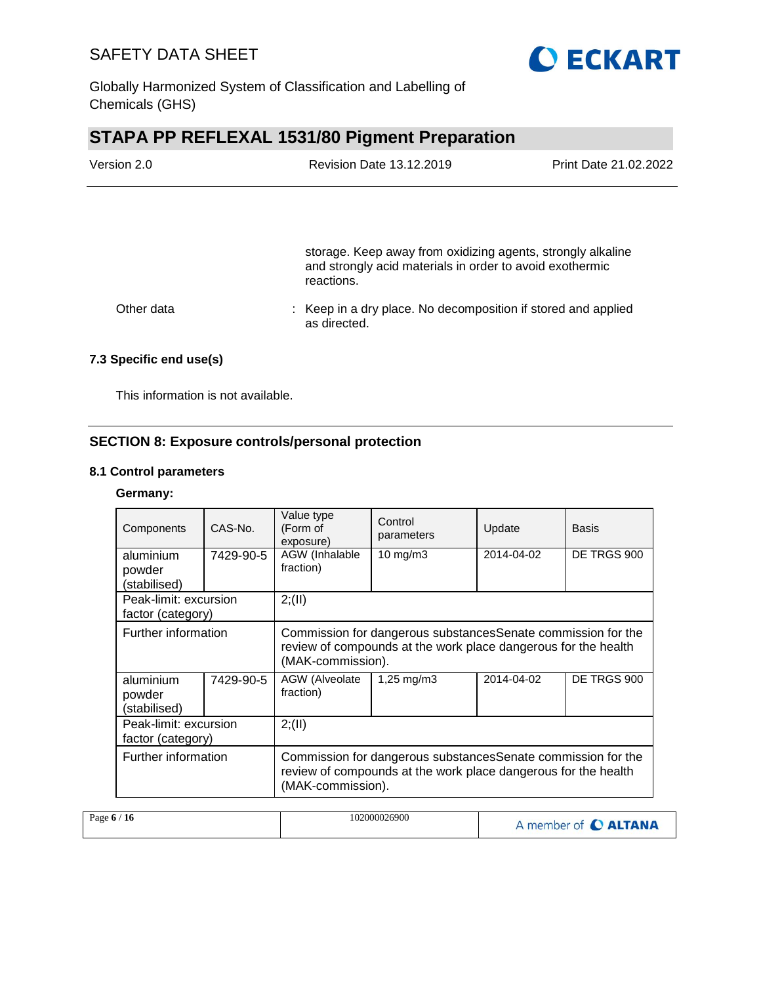

Globally Harmonized System of Classification and Labelling of Chemicals (GHS)

# **STAPA PP REFLEXAL 1531/80 Pigment Preparation**

| Version 2.0 | <b>Revision Date 13.12.2019</b>                                                                                                       | Print Date 21.02.2022 |
|-------------|---------------------------------------------------------------------------------------------------------------------------------------|-----------------------|
|             |                                                                                                                                       |                       |
|             | storage. Keep away from oxidizing agents, strongly alkaline<br>and strongly acid materials in order to avoid exothermic<br>reactions. |                       |
| Other data  | : Keep in a dry place. No decomposition if stored and applied<br>as directed.                                                         |                       |

### **7.3 Specific end use(s)**

This information is not available.

### **SECTION 8: Exposure controls/personal protection**

### **8.1 Control parameters**

### **Germany:**

| Components                                 | CAS-No.   | Value type<br>(Form of<br>exposure)                                                                                                                  | Control<br>parameters   | Update     | <b>Basis</b> |
|--------------------------------------------|-----------|------------------------------------------------------------------------------------------------------------------------------------------------------|-------------------------|------------|--------------|
| aluminium<br>powder                        | 7429-90-5 | AGW (Inhalable<br>fraction)                                                                                                                          | $10 \text{ mg/m}$       | 2014-04-02 | DE TRGS 900  |
| (stabilised)                               |           |                                                                                                                                                      |                         |            |              |
| Peak-limit: excursion                      |           | 2; (II)                                                                                                                                              |                         |            |              |
| factor (category)                          |           |                                                                                                                                                      |                         |            |              |
| Further information                        |           | Commission for dangerous substances Senate commission for the<br>review of compounds at the work place dangerous for the health<br>(MAK-commission). |                         |            |              |
| aluminium<br>powder<br>(stabilised)        | 7429-90-5 | AGW (Alveolate<br>fraction)                                                                                                                          | $1,25 \,\mathrm{mq/m3}$ | 2014-04-02 | DE TRGS 900  |
| Peak-limit: excursion<br>factor (category) |           | 2; (II)                                                                                                                                              |                         |            |              |
| Further information                        |           | Commission for dangerous substances Senate commission for the<br>review of compounds at the work place dangerous for the health<br>(MAK-commission). |                         |            |              |

| Page $6/16$ | 102000026900 | A member of C ALTANA |
|-------------|--------------|----------------------|
|-------------|--------------|----------------------|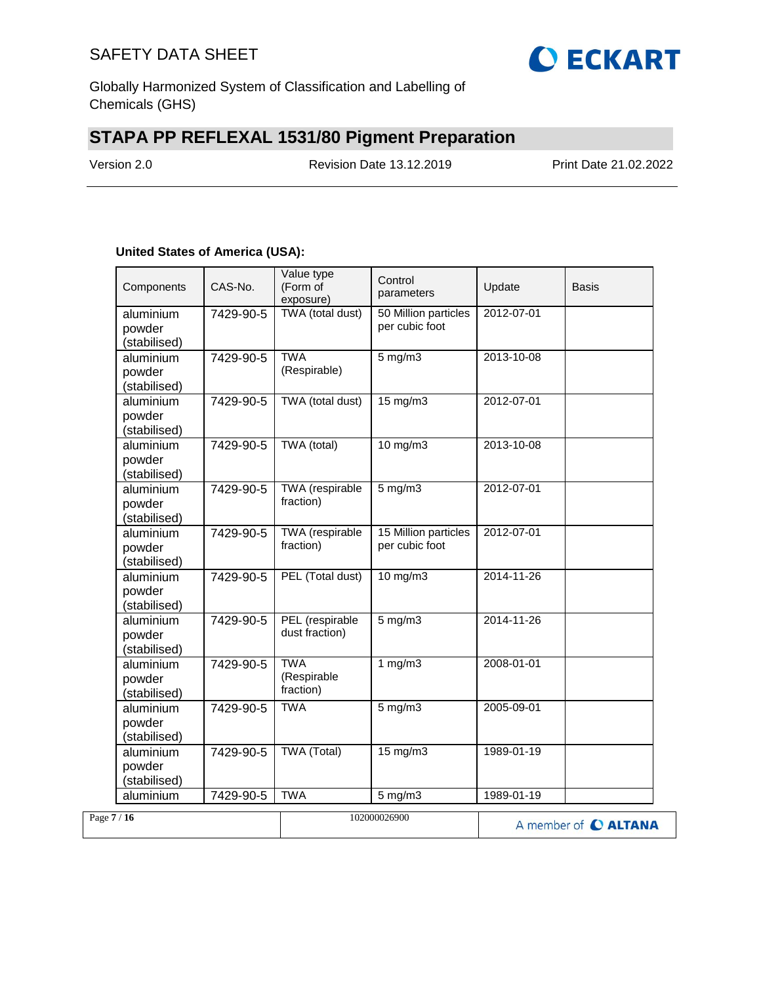

Globally Harmonized System of Classification and Labelling of Chemicals (GHS)

# **STAPA PP REFLEXAL 1531/80 Pigment Preparation**

Version 2.0 Revision Date 13.12.2019 Print Date 21.02.2022

### **United States of America (USA):**

|             | Components                          | CAS-No.   | Value type<br>(Form of<br>exposure)    | Control<br>parameters                  | Update     | <b>Basis</b>         |
|-------------|-------------------------------------|-----------|----------------------------------------|----------------------------------------|------------|----------------------|
|             | aluminium<br>powder<br>(stabilised) | 7429-90-5 | TWA (total dust)                       | 50 Million particles<br>per cubic foot | 2012-07-01 |                      |
|             | aluminium<br>powder<br>(stabilised) | 7429-90-5 | <b>TWA</b><br>(Respirable)             | $5$ mg/m $3$                           | 2013-10-08 |                      |
|             | aluminium<br>powder<br>(stabilised) | 7429-90-5 | TWA (total dust)                       | 15 mg/m3                               | 2012-07-01 |                      |
|             | aluminium<br>powder<br>(stabilised) | 7429-90-5 | TWA (total)                            | $10$ mg/m $3$                          | 2013-10-08 |                      |
|             | aluminium<br>powder<br>(stabilised) | 7429-90-5 | TWA (respirable<br>fraction)           | $5$ mg/m $3$                           | 2012-07-01 |                      |
|             | aluminium<br>powder<br>(stabilised) | 7429-90-5 | <b>TWA</b> (respirable<br>fraction)    | 15 Million particles<br>per cubic foot | 2012-07-01 |                      |
|             | aluminium<br>powder<br>(stabilised) | 7429-90-5 | PEL (Total dust)                       | $10$ mg/m $3$                          | 2014-11-26 |                      |
|             | aluminium<br>powder<br>(stabilised) | 7429-90-5 | PEL (respirable<br>dust fraction)      | $5 \text{ mg/m}$                       | 2014-11-26 |                      |
|             | aluminium<br>powder<br>(stabilised) | 7429-90-5 | <b>TWA</b><br>(Respirable<br>fraction) | 1 $mg/m3$                              | 2008-01-01 |                      |
|             | aluminium<br>powder<br>(stabilised) | 7429-90-5 | <b>TWA</b>                             | $5$ mg/m $3$                           | 2005-09-01 |                      |
|             | aluminium<br>powder<br>(stabilised) | 7429-90-5 | <b>TWA (Total)</b>                     | $15 \text{ mg/m}$                      | 1989-01-19 |                      |
|             | aluminium                           | 7429-90-5 | <b>TWA</b>                             | 5 mg/m3                                | 1989-01-19 |                      |
| Page $7/16$ |                                     |           |                                        | 102000026900                           |            | A member of C ALTANA |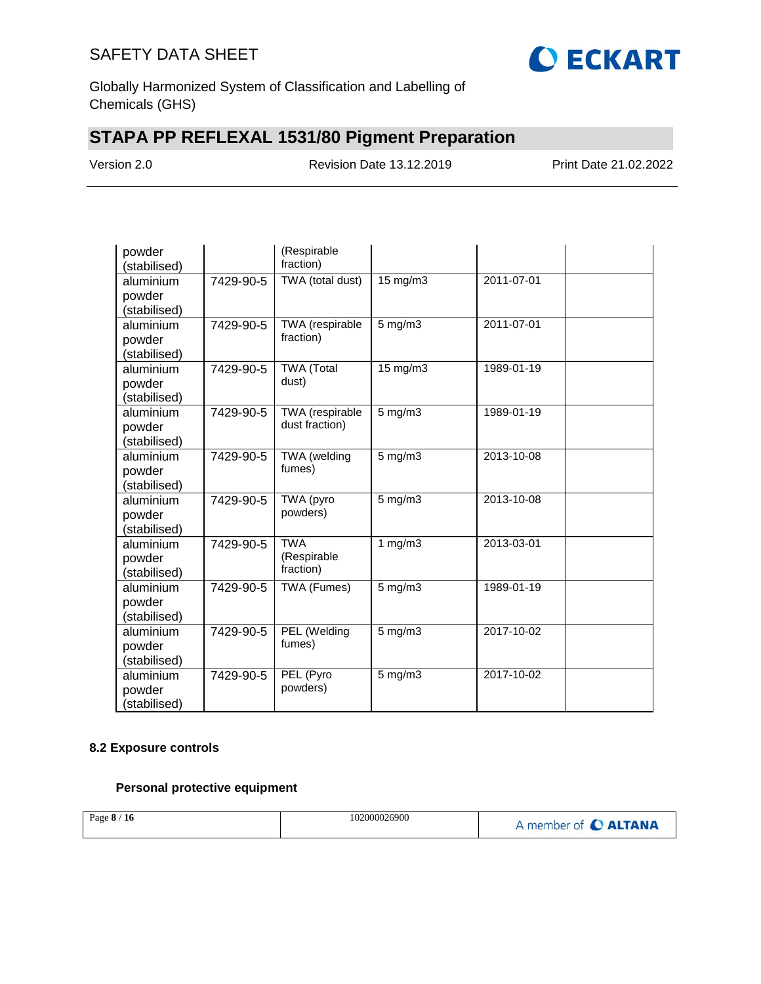

Globally Harmonized System of Classification and Labelling of Chemicals (GHS)

# **STAPA PP REFLEXAL 1531/80 Pigment Preparation**

Version 2.0 Revision Date 13.12.2019 Print Date 21.02.2022

| powder<br>(stabilised) |           | (Respirable<br>fraction)          |                   |                  |  |
|------------------------|-----------|-----------------------------------|-------------------|------------------|--|
| aluminium              | 7429-90-5 | TWA (total dust)                  | $15 \text{ mg/m}$ | 2011-07-01       |  |
| powder                 |           |                                   |                   |                  |  |
| (stabilised)           |           |                                   |                   |                  |  |
| aluminium              | 7429-90-5 | TWA (respirable                   | $5$ mg/m $3$      | 2011-07-01       |  |
| powder                 |           | fraction)                         |                   |                  |  |
| (stabilised)           |           |                                   |                   |                  |  |
| aluminium              | 7429-90-5 | <b>TWA (Total</b>                 | 15 mg/m3          | 1989-01-19       |  |
| powder                 |           | dust)                             |                   |                  |  |
| (stabilised)           |           |                                   |                   |                  |  |
| aluminium              | 7429-90-5 | TWA (respirable<br>dust fraction) | $5$ mg/m $3$      | 1989-01-19       |  |
| powder                 |           |                                   |                   |                  |  |
| (stabilised)           |           |                                   |                   | 2013-10-08       |  |
| aluminium              | 7429-90-5 | TWA (welding<br>fumes)            | $5$ mg/m $3$      |                  |  |
| powder                 |           |                                   |                   |                  |  |
| (stabilised)           |           | TWA (pyro                         |                   | $2013 - 10 - 08$ |  |
| aluminium              | 7429-90-5 | powders)                          | 5 mg/m3           |                  |  |
| powder<br>(stabilised) |           |                                   |                   |                  |  |
| aluminium              | 7429-90-5 | <b>TWA</b>                        | 1 $mg/m3$         | 2013-03-01       |  |
| powder                 |           | (Respirable                       |                   |                  |  |
| (stabilised)           |           | fraction)                         |                   |                  |  |
| aluminium              | 7429-90-5 | TWA (Fumes)                       | $5$ mg/m $3$      | 1989-01-19       |  |
| powder                 |           |                                   |                   |                  |  |
| (stabilised)           |           |                                   |                   |                  |  |
| aluminium              | 7429-90-5 | PEL (Welding                      | $5$ mg/m $3$      | 2017-10-02       |  |
| powder                 |           | fumes)                            |                   |                  |  |
| (stabilised)           |           |                                   |                   |                  |  |
| aluminium              | 7429-90-5 | PEL (Pyro                         | $5$ mg/m $3$      | 2017-10-02       |  |
| powder                 |           | powders)                          |                   |                  |  |
| (stabilised)           |           |                                   |                   |                  |  |

### **8.2 Exposure controls**

### **Personal protective equipment**

| Page 8 / 16 | 102000026900 | A member of C ALTANA |
|-------------|--------------|----------------------|
|             |              |                      |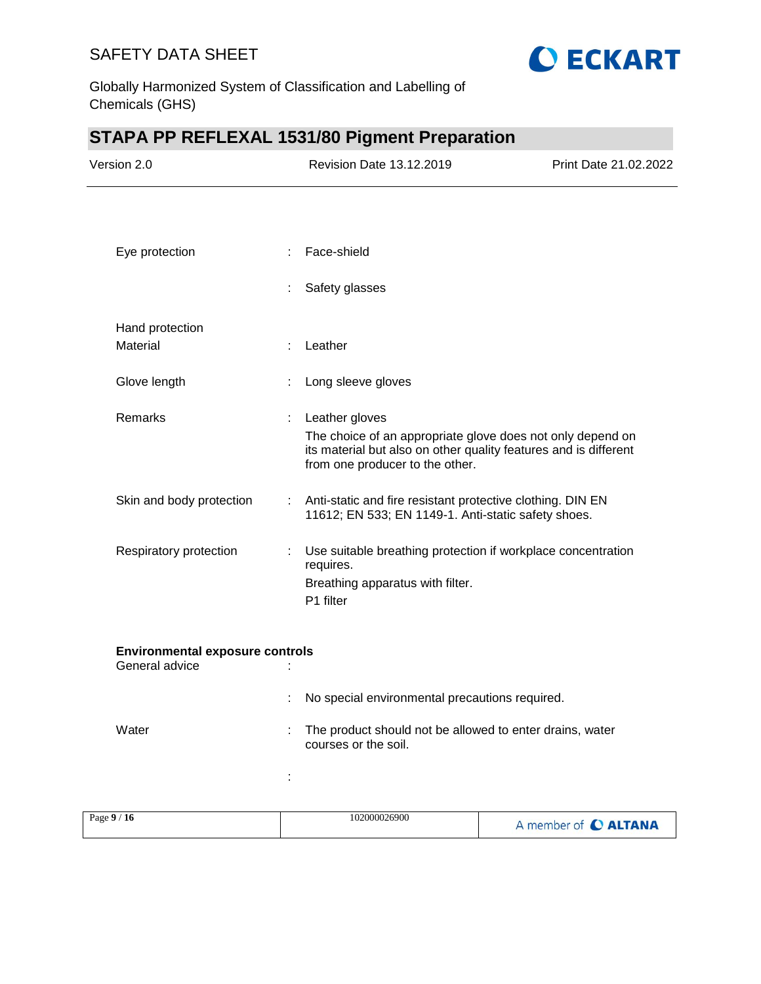

Globally Harmonized System of Classification and Labelling of Chemicals (GHS)

# **STAPA PP REFLEXAL 1531/80 Pigment Preparation**

| Version 2.0                                              |    | Revision Date 13.12.2019                                                                                                                                                            | Print Date 21.02.2022 |
|----------------------------------------------------------|----|-------------------------------------------------------------------------------------------------------------------------------------------------------------------------------------|-----------------------|
|                                                          |    |                                                                                                                                                                                     |                       |
| Eye protection                                           |    | Face-shield                                                                                                                                                                         |                       |
|                                                          | ÷  | Safety glasses                                                                                                                                                                      |                       |
| Hand protection                                          |    |                                                                                                                                                                                     |                       |
| Material                                                 |    | Leather                                                                                                                                                                             |                       |
| Glove length                                             |    | Long sleeve gloves                                                                                                                                                                  |                       |
| Remarks                                                  | ÷  | Leather gloves<br>The choice of an appropriate glove does not only depend on<br>its material but also on other quality features and is different<br>from one producer to the other. |                       |
| Skin and body protection                                 |    | : Anti-static and fire resistant protective clothing. DIN EN<br>11612; EN 533; EN 1149-1. Anti-static safety shoes.                                                                 |                       |
| Respiratory protection                                   | ÷. | Use suitable breathing protection if workplace concentration<br>requires.<br>Breathing apparatus with filter.<br>P1 filter                                                          |                       |
| <b>Environmental exposure controls</b><br>General advice |    |                                                                                                                                                                                     |                       |
|                                                          |    | No special environmental precautions required.                                                                                                                                      |                       |
| Water                                                    |    | The product should not be allowed to enter drains, water<br>courses or the soil.                                                                                                    |                       |
|                                                          | t  |                                                                                                                                                                                     |                       |
| Page 9/16                                                |    | 102000026900                                                                                                                                                                        | A member of C ALTANA  |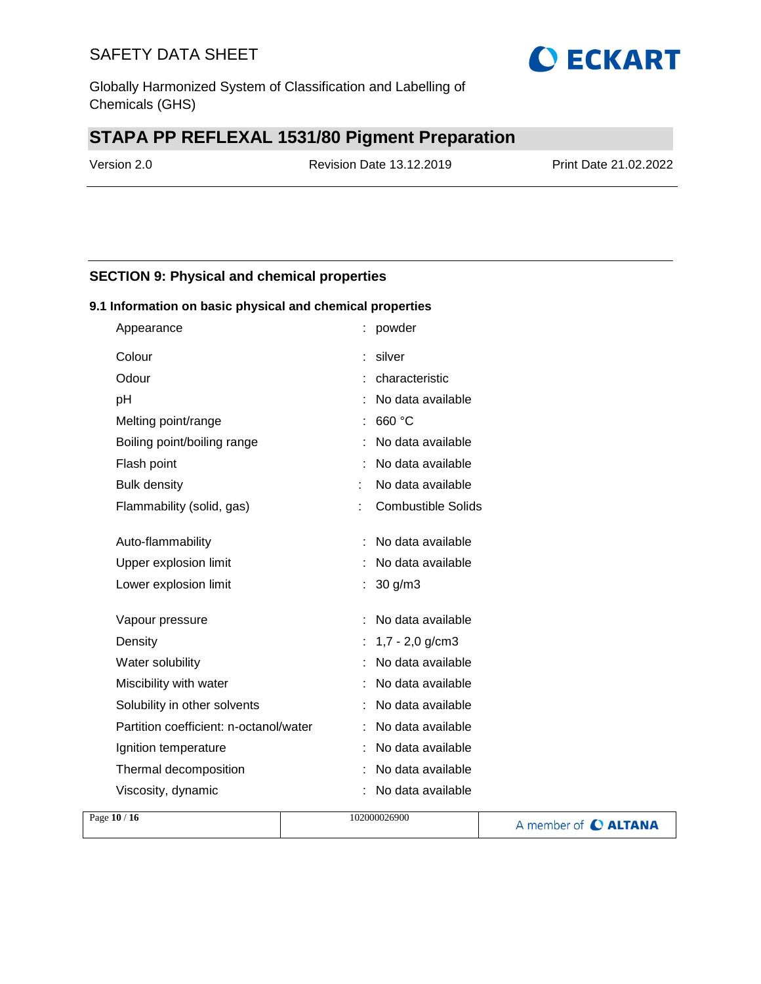Globally Harmonized System of Classification and Labelling of Chemicals (GHS)

# **STAPA PP REFLEXAL 1531/80 Pigment Preparation**

Version 2.0 Revision Date 13.12.2019 Print Date 21.02.2022

**O ECKART** 

### **SECTION 9: Physical and chemical properties**

### **9.1 Information on basic physical and chemical properties**

| Appearance                             | powder<br>t               |
|----------------------------------------|---------------------------|
| Colour                                 | silver                    |
| Odour                                  | characteristic            |
| рH                                     | No data available         |
| Melting point/range                    | 660 °C                    |
| Boiling point/boiling range            | No data available         |
| Flash point                            | No data available         |
| <b>Bulk density</b>                    | No data available         |
| Flammability (solid, gas)              | <b>Combustible Solids</b> |
|                                        |                           |
| Auto-flammability                      | No data available         |
| Upper explosion limit                  | No data available         |
| Lower explosion limit                  | 30 g/m3                   |
| Vapour pressure                        | No data available         |
| Density                                | $1,7 - 2,0$ g/cm3         |
| Water solubility                       | No data available         |
| Miscibility with water                 | No data available         |
| Solubility in other solvents           | No data available         |
| Partition coefficient: n-octanol/water | No data available         |
| Ignition temperature                   | No data available<br>÷    |
| Thermal decomposition                  | No data available         |
| Viscosity, dynamic                     | No data available         |

| Page 10 / 16 | 102000026900 | A member of C ALTANA |
|--------------|--------------|----------------------|
|              |              |                      |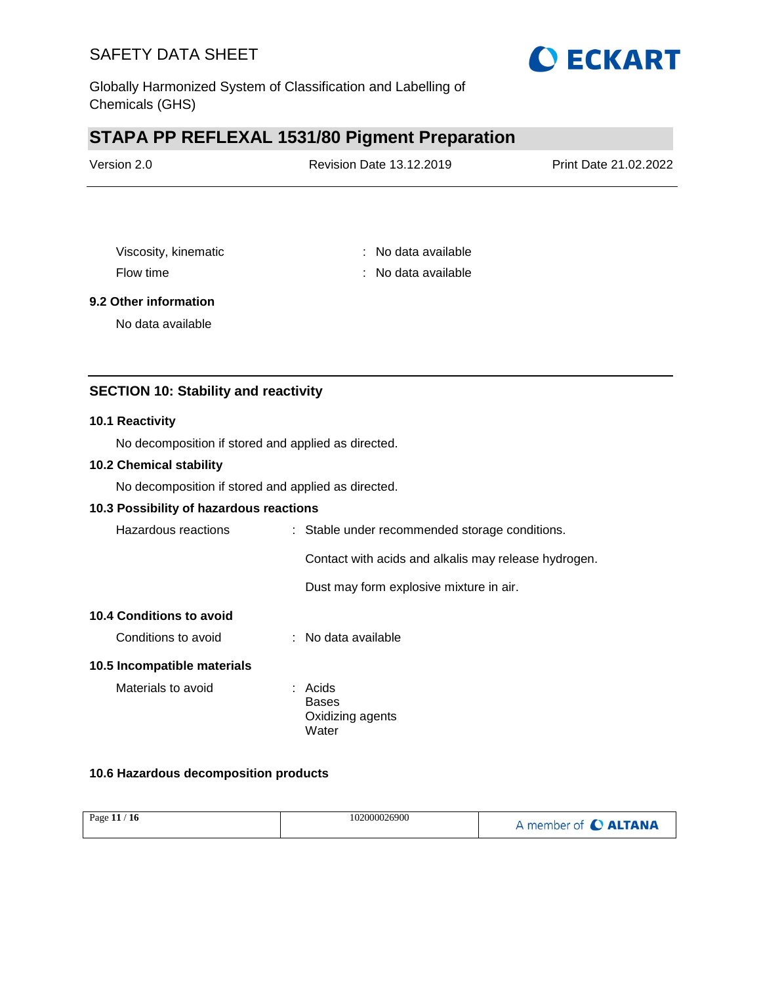

Globally Harmonized System of Classification and Labelling of Chemicals (GHS)

# **STAPA PP REFLEXAL 1531/80 Pigment Preparation**

| Version 2.0 | <b>Revision Date 13.12.2019</b> | Print Date 21.02.2022 |
|-------------|---------------------------------|-----------------------|
|             |                                 |                       |

Viscosity, kinematic **intervalse in the Contract Contract Contract Contract Contract Contract Contract Contract Contract Contract Contract Contract Contract Contract Contract Contract Contract Contract Contract Contract Co** Flow time : No data available : No data available

### **9.2 Other information**

No data available

### **SECTION 10: Stability and reactivity**

#### **10.1 Reactivity**

No decomposition if stored and applied as directed.

### **10.2 Chemical stability**

No decomposition if stored and applied as directed.

### **10.3 Possibility of hazardous reactions**

| Hazardous reactions             | : Stable under recommended storage conditions.       |
|---------------------------------|------------------------------------------------------|
|                                 | Contact with acids and alkalis may release hydrogen. |
|                                 | Dust may form explosive mixture in air.              |
| <b>10.4 Conditions to avoid</b> |                                                      |
| Conditions to avoid             | $\therefore$ No data available                       |
| 10.5 Incompatible materials     |                                                      |
| Materials to avoid              | : Acids<br><b>Bases</b><br>Oxidizing agents          |

Water

### **10.6 Hazardous decomposition products**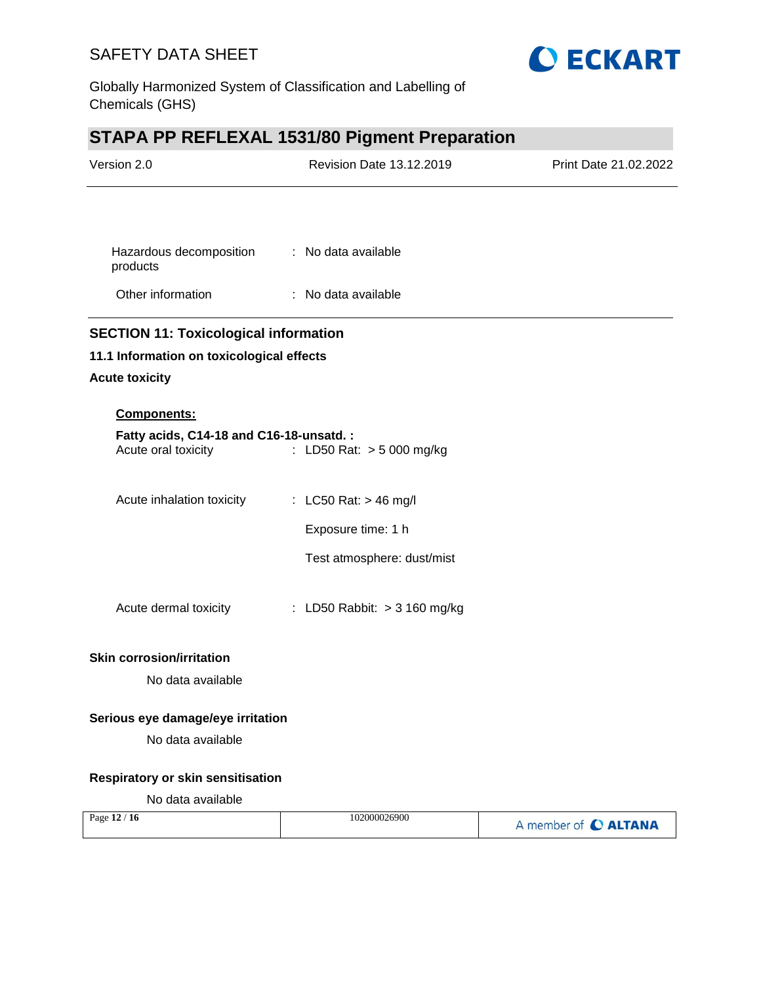

Globally Harmonized System of Classification and Labelling of Chemicals (GHS)

# **STAPA PP REFLEXAL 1531/80 Pigment Preparation**

| Version 2.0                                                    | Revision Date 13.12.2019     | Print Date 21.02.2022 |
|----------------------------------------------------------------|------------------------------|-----------------------|
|                                                                |                              |                       |
| Hazardous decomposition<br>products                            | : No data available          |                       |
| Other information                                              | : No data available          |                       |
| <b>SECTION 11: Toxicological information</b>                   |                              |                       |
| 11.1 Information on toxicological effects                      |                              |                       |
| <b>Acute toxicity</b>                                          |                              |                       |
| Components:                                                    |                              |                       |
| Fatty acids, C14-18 and C16-18-unsatd.:<br>Acute oral toxicity | : LD50 Rat: $> 5000$ mg/kg   |                       |
| Acute inhalation toxicity                                      | : LC50 Rat: $>$ 46 mg/l      |                       |
|                                                                | Exposure time: 1 h           |                       |
|                                                                | Test atmosphere: dust/mist   |                       |
| Acute dermal toxicity                                          | : LD50 Rabbit: > 3 160 mg/kg |                       |
| <b>Skin corrosion/irritation</b>                               |                              |                       |
| No data available                                              |                              |                       |
| Serious eye damage/eye irritation                              |                              |                       |
| No data available                                              |                              |                       |
| Respiratory or skin sensitisation                              |                              |                       |
| No data available                                              |                              |                       |
| Page 12 / 16                                                   | 102000026900                 | A member of C ALTANA  |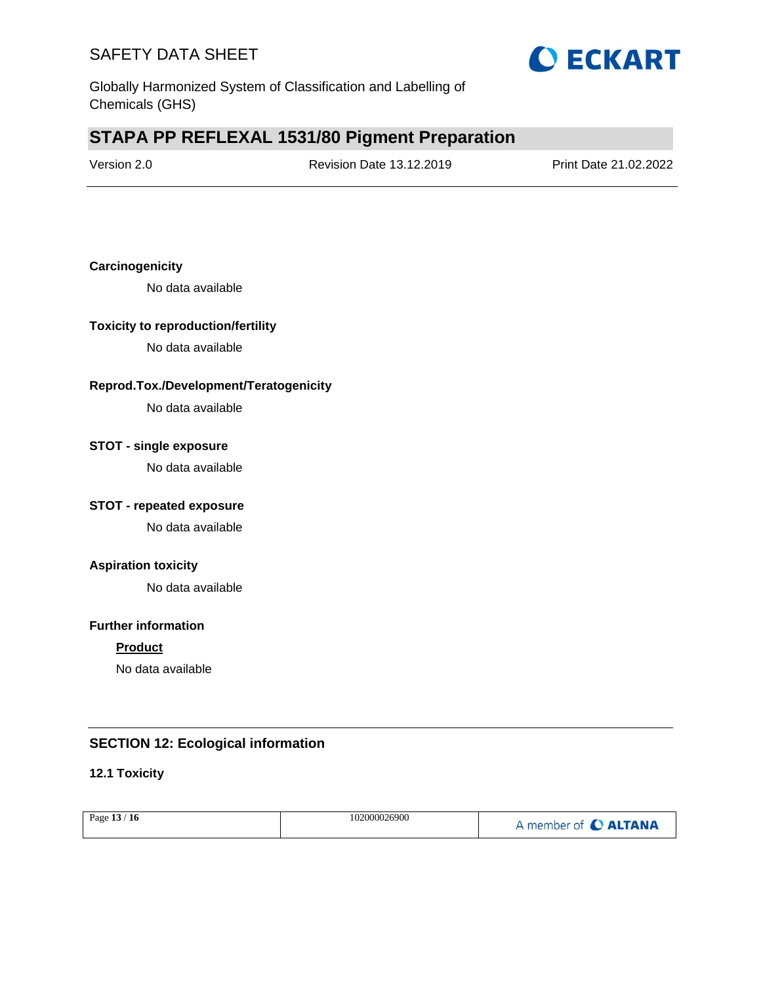

Globally Harmonized System of Classification and Labelling of Chemicals (GHS)

# **STAPA PP REFLEXAL 1531/80 Pigment Preparation**

| Version 2.0 |  |
|-------------|--|
|-------------|--|

Revision Date 13.12.2019 Print Date 21.02.2022

### **Carcinogenicity**

No data available

### **Toxicity to reproduction/fertility**

No data available

### **Reprod.Tox./Development/Teratogenicity**

No data available

### **STOT - single exposure**

No data available

### **STOT - repeated exposure**

No data available

### **Aspiration toxicity**

No data available

### **Further information**

### **Product**

No data available

### **SECTION 12: Ecological information**

### **12.1 Toxicity**

| Page 13 / 16 | 102000026900 | A member of C ALTANA |
|--------------|--------------|----------------------|
|              |              |                      |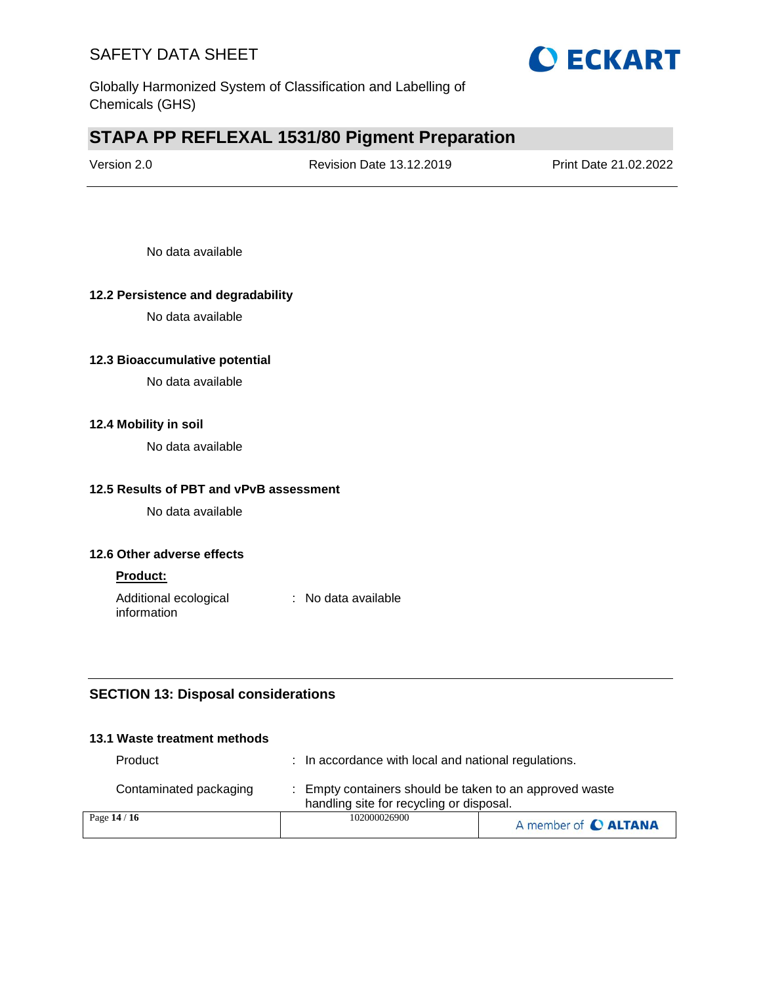

Globally Harmonized System of Classification and Labelling of Chemicals (GHS)

# **STAPA PP REFLEXAL 1531/80 Pigment Preparation**

| Version 2.0 | <b>Revision Date 13.12.2019</b> | Print Date 21.02.2022 |
|-------------|---------------------------------|-----------------------|
|             |                                 |                       |

No data available

### **12.2 Persistence and degradability**

No data available

### **12.3 Bioaccumulative potential**

No data available

### **12.4 Mobility in soil**

No data available

### **12.5 Results of PBT and vPvB assessment**

No data available

### **12.6 Other adverse effects**

#### **Product:**

Additional ecological information : No data available

### **SECTION 13: Disposal considerations**

### **13.1 Waste treatment methods**

Product : In accordance with local and national regulations.

| Contaminated packaging | Empty containers should be taken to an approved waste<br>handling site for recycling or disposal. |  |
|------------------------|---------------------------------------------------------------------------------------------------|--|
| Page $14/16$           | 102000026900<br>A member of C ALTANA                                                              |  |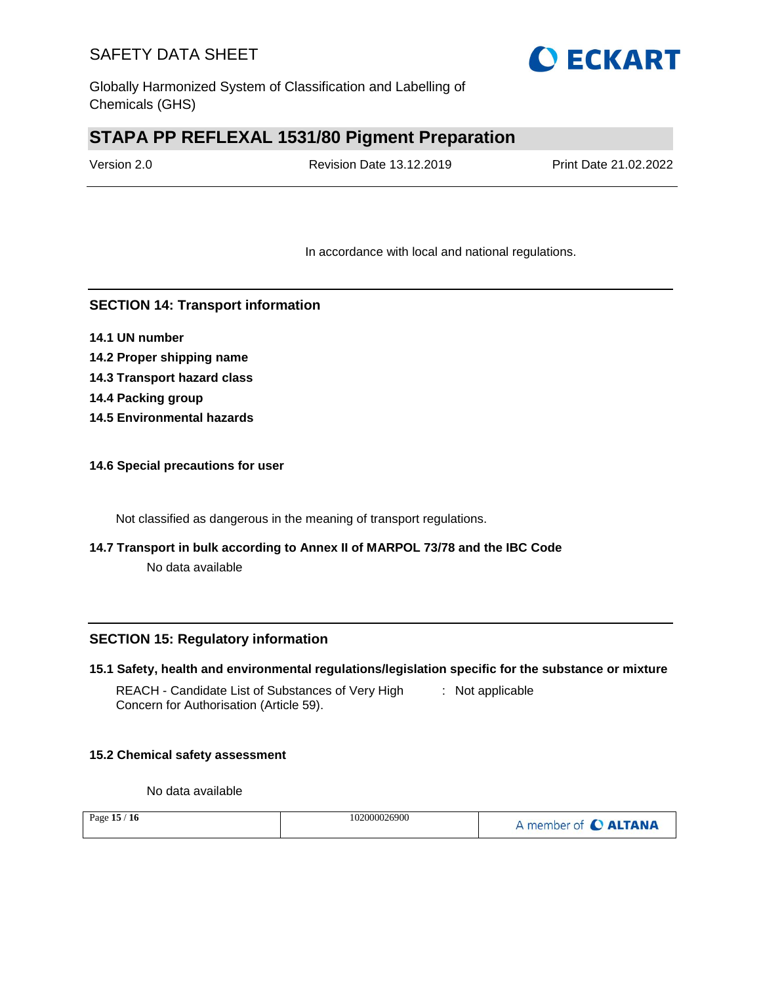

Globally Harmonized System of Classification and Labelling of Chemicals (GHS)

# **STAPA PP REFLEXAL 1531/80 Pigment Preparation**

Version 2.0 Revision Date 13.12.2019 Print Date 21.02.2022

In accordance with local and national regulations.

### **SECTION 14: Transport information**

- **14.1 UN number**
- **14.2 Proper shipping name**
- **14.3 Transport hazard class**
- **14.4 Packing group**
- **14.5 Environmental hazards**

### **14.6 Special precautions for user**

Not classified as dangerous in the meaning of transport regulations.

# **14.7 Transport in bulk according to Annex II of MARPOL 73/78 and the IBC Code**

No data available

### **SECTION 15: Regulatory information**

### **15.1 Safety, health and environmental regulations/legislation specific for the substance or mixture**

REACH - Candidate List of Substances of Very High Concern for Authorisation (Article 59). : Not applicable

### **15.2 Chemical safety assessment**

No data available

| /16<br>Page $15/$ | 102000026900 | A member of C ALTANA |
|-------------------|--------------|----------------------|
|-------------------|--------------|----------------------|